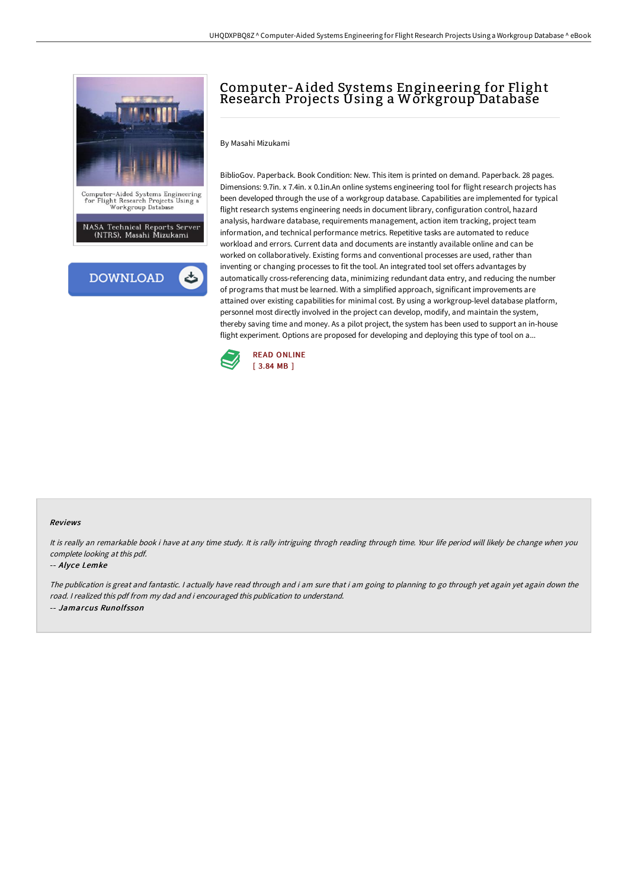

# Computer-A ided Systems Engineering for Flight Research Projects Using a Workgroup Database

## By Masahi Mizukami

BiblioGov. Paperback. Book Condition: New. This item is printed on demand. Paperback. 28 pages. Dimensions: 9.7in. x 7.4in. x 0.1in.An online systems engineering tool for flight research projects has been developed through the use of a workgroup database. Capabilities are implemented for typical flight research systems engineering needs in document library, configuration control, hazard analysis, hardware database, requirements management, action item tracking, project team information, and technical performance metrics. Repetitive tasks are automated to reduce workload and errors. Current data and documents are instantly available online and can be worked on collaboratively. Existing forms and conventional processes are used, rather than inventing or changing processes to fit the tool. An integrated tool set offers advantages by automatically cross-referencing data, minimizing redundant data entry, and reducing the number of programs that must be learned. With a simplified approach, significant improvements are attained over existing capabilities for minimal cost. By using a workgroup-level database platform, personnel most directly involved in the project can develop, modify, and maintain the system, thereby saving time and money. As a pilot project, the system has been used to support an in-house flight experiment. Options are proposed for developing and deploying this type of tool on a...



#### Reviews

It is really an remarkable book i have at any time study. It is rally intriguing throgh reading through time. Your life period will likely be change when you complete looking at this pdf.

#### -- Alyce Lemke

The publication is great and fantastic. I actually have read through and i am sure that i am going to planning to go through yet again yet again down the road. <sup>I</sup> realized this pdf from my dad and i encouraged this publication to understand. -- Jamarcus Runolfsson